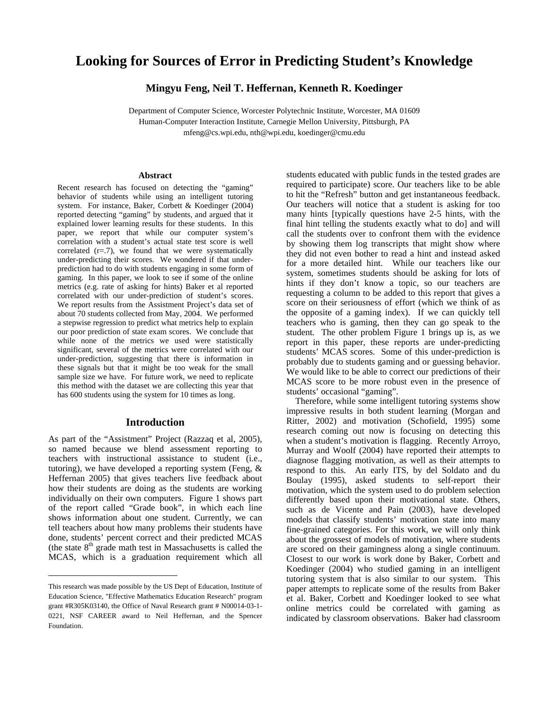# **Looking for Sources of Error in Predicting Student's Knowledge**

**Mingyu Feng, Neil T. Heffernan, Kenneth R. Koedinger** 

Department of Computer Science, Worcester Polytechnic Institute, Worcester, MA 01609 Human-Computer Interaction Institute, Carnegie Mellon University, Pittsburgh, PA mfeng@cs.wpi.edu, nth@wpi.edu, koedinger@cmu.edu

### **Abstract**

Recent research has focused on detecting the "gaming" behavior of students while using an intelligent tutoring system. For instance, Baker, Corbett & Koedinger (2004) reported detecting "gaming" by students, and argued that it explained lower learning results for these students. In this paper, we report that while our computer system's correlation with a student's actual state test score is well correlated  $(r=.7)$ , we found that we were systematically under-predicting their scores. We wondered if that underprediction had to do with students engaging in some form of gaming. In this paper, we look to see if some of the online metrics (e.g. rate of asking for hints) Baker et al reported correlated with our under-prediction of student's scores. We report results from the Assistment Project's data set of about 70 students collected from May, 2004. We performed a stepwise regression to predict what metrics help to explain our poor prediction of state exam scores. We conclude that while none of the metrics we used were statistically significant, several of the metrics were correlated with our under-prediction, suggesting that there is information in these signals but that it might be too weak for the small sample size we have. For future work, we need to replicate this method with the dataset we are collecting this year that has 600 students using the system for 10 times as long.

### **Introduction**

As part of the "Assistment" Project (Razzaq et al, 2005), so named because we blend assessment reporting to teachers with instructional assistance to student (i.e., tutoring), we have developed a reporting system (Feng, & Heffernan 2005) that gives teachers live feedback about how their students are doing as the students are working individually on their own computers. Figure 1 shows part of the report called "Grade book", in which each line shows information about one student. Currently, we can tell teachers about how many problems their students have done, students' percent correct and their predicted MCAS (the state  $8<sup>th</sup>$  grade math test in Massachusetts is called the MCAS, which is a graduation requirement which all

 $\overline{a}$ 

students educated with public funds in the tested grades are required to participate) score. Our teachers like to be able to hit the "Refresh" button and get instantaneous feedback. Our teachers will notice that a student is asking for too many hints [typically questions have 2-5 hints, with the final hint telling the students exactly what to do] and will call the students over to confront them with the evidence by showing them log transcripts that might show where they did not even bother to read a hint and instead asked for a more detailed hint. While our teachers like our system, sometimes students should be asking for lots of hints if they don't know a topic, so our teachers are requesting a column to be added to this report that gives a score on their seriousness of effort (which we think of as the opposite of a gaming index). If we can quickly tell teachers who is gaming, then they can go speak to the student. The other problem Figure 1 brings up is, as we report in this paper, these reports are under-predicting students' MCAS scores. Some of this under-prediction is probably due to students gaming and or guessing behavior. We would like to be able to correct our predictions of their MCAS score to be more robust even in the presence of students' occasional "gaming".

 Therefore, while some intelligent tutoring systems show impressive results in both student learning (Morgan and Ritter, 2002) and motivation (Schofield, 1995) some research coming out now is focusing on detecting this when a student's motivation is flagging. Recently Arroyo, Murray and Woolf (2004) have reported their attempts to diagnose flagging motivation, as well as their attempts to respond to this. An early ITS, by del Soldato and du Boulay (1995), asked students to self-report their motivation, which the system used to do problem selection differently based upon their motivational state. Others, such as de Vicente and Pain (2003), have developed models that classify students' motivation state into many fine-grained categories. For this work, we will only think about the grossest of models of motivation, where students are scored on their gamingness along a single continuum. Closest to our work is work done by Baker, Corbett and Koedinger (2004) who studied gaming in an intelligent tutoring system that is also similar to our system. This paper attempts to replicate some of the results from Baker et al. Baker, Corbett and Koedinger looked to see what online metrics could be correlated with gaming as indicated by classroom observations. Baker had classroom

This research was made possible by the US Dept of Education, Institute of Education Science, "Effective Mathematics Education Research" program grant #R305K03140, the Office of Naval Research grant # N00014-03-1- 0221, NSF CAREER award to Neil Heffernan, and the Spencer Foundation.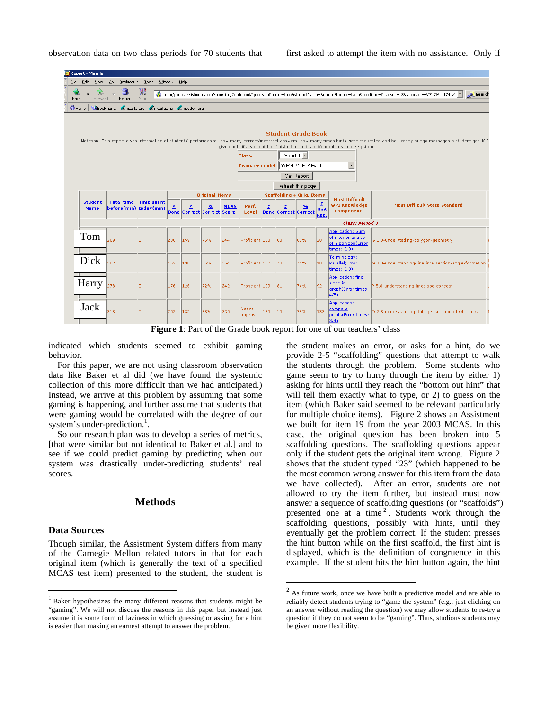observation data on two class periods for 70 students that

|      | Report - Mozilla                                                                                                                                                                                                                                                                                                                                                                                                                                   |                                             |                           |     |                                    |                         |             |                  |     |     |                                                        |                   |                                                                                    |                                                       |
|------|----------------------------------------------------------------------------------------------------------------------------------------------------------------------------------------------------------------------------------------------------------------------------------------------------------------------------------------------------------------------------------------------------------------------------------------------------|---------------------------------------------|---------------------------|-----|------------------------------------|-------------------------|-------------|------------------|-----|-----|--------------------------------------------------------|-------------------|------------------------------------------------------------------------------------|-------------------------------------------------------|
| File | Edit<br>View                                                                                                                                                                                                                                                                                                                                                                                                                                       | Go                                          | Bookmarks Tools<br>Window |     | Help                               |                         |             |                  |     |     |                                                        |                   |                                                                                    |                                                       |
| Back | 3<br>* http://worc.assistment.com/reporting/Gradebook?generateReport=true&studentName=&deleteStudent=False&condition=&dasses=18&standard=WPI-CMU-174-v1 ▼<br>Search<br>Stop<br>Reload<br>Forward                                                                                                                                                                                                                                                   |                                             |                           |     |                                    |                         |             |                  |     |     |                                                        |                   |                                                                                    |                                                       |
|      | Bookmarks / mozilla.org / mozillaZine / mozdev.org<br>Home                                                                                                                                                                                                                                                                                                                                                                                         |                                             |                           |     |                                    |                         |             |                  |     |     |                                                        |                   |                                                                                    |                                                       |
|      | <b>Student Grade Book</b><br>Notation: This report gives information of students' performance: how many correct/incorrect answers, how many times hints were requested and how many buggy messages a student got. MC,<br>given only if a student has finished more than 10 problems in our system.<br>Period $3$ $\blacktriangledown$<br>Class:<br>Transfer model: WPI-CMU-174-v1.0<br>$\overline{\phantom{a}}$<br>Get Report<br>Refresh this page |                                             |                           |     |                                    |                         |             |                  |     |     |                                                        |                   |                                                                                    |                                                       |
|      |                                                                                                                                                                                                                                                                                                                                                                                                                                                    |                                             |                           |     |                                    | <b>Original Items</b>   |             |                  |     |     | <b>Scaffolding + Orig. Items</b>                       |                   |                                                                                    |                                                       |
|      | <b>Student</b><br><b>Name</b>                                                                                                                                                                                                                                                                                                                                                                                                                      | <b>Total time</b><br>before(min) today(min) | <b>Time spent</b>         | 坓   | <b>Done Correct Correct Score*</b> | $\mathbf{0}/\mathbf{0}$ | <b>MCAS</b> | Perf.<br>Level   | #   | #   | $\mathbf{0}/\mathbf{0}$<br><b>Done Correct Correct</b> | 坓<br>Hint<br>Req. | <b>Most Difficult</b><br><b>WPI Knowledge</b><br>Component*                        | <b>Most Difficult State Standard</b>                  |
|      |                                                                                                                                                                                                                                                                                                                                                                                                                                                    |                                             |                           |     |                                    |                         |             |                  |     |     |                                                        |                   | <b>Class: Period 3</b>                                                             |                                                       |
|      | Tom                                                                                                                                                                                                                                                                                                                                                                                                                                                | 269                                         | lo                        | 208 | 159                                | 76%                     | 244         | Proficient 100   |     | 183 | 83%                                                    | 20                | <b>Application: Sum</b><br>of interior angles<br>of a polygon(Error<br>times: 2/3) | G.1.8-understading-polygon-geometry                   |
|      | Dick                                                                                                                                                                                                                                                                                                                                                                                                                                               | 302                                         |                           | 162 | 138                                | 85%                     | 254         | Proficient 102   |     | 178 | 76%                                                    | 18                | Terminology:<br>Parallel(Error<br>times: 3/3)                                      | G.3.8-understanding-line-intersection-angle-formation |
|      | Harry                                                                                                                                                                                                                                                                                                                                                                                                                                              | 278                                         | ın                        | 176 | 126                                | 72%                     | 242         | Proficient 109   |     | 181 | 74%                                                    | 92                | Application: find<br>slope in<br>graph(Error times:<br>4/5)                        | P.5.8-understanding-lineslope-concept                 |
|      | Jack                                                                                                                                                                                                                                                                                                                                                                                                                                               | 318                                         | In                        | 202 | 132                                | 65%                     | 230         | Needs<br>improv. | 133 | 101 | 76%                                                    | 133               | Application:<br>compare<br>points(Error times:<br>3/4)                             | D.2.8-understanding-data-presentation-techniques      |

**Figure 1**: Part of the Grade book report for one of our teachers' class

 $\overline{a}$ 

indicated which students seemed to exhibit gaming behavior.

 For this paper, we are not using classroom observation data like Baker et al did (we have found the systemic collection of this more difficult than we had anticipated.) Instead, we arrive at this problem by assuming that some gaming is happening, and further assume that students that were gaming would be correlated with the degree of our system's under-prediction.<sup>1</sup>.

 So our research plan was to develop a series of metrics, [that were similar but not identical to Baker et al.] and to see if we could predict gaming by predicting when our system was drastically under-predicting students' real scores.

# **Methods**

### **Data Sources**

 $\overline{a}$ 

Though similar, the Assistment System differs from many of the Carnegie Mellon related tutors in that for each original item (which is generally the text of a specified MCAS test item) presented to the student, the student is

the student makes an error, or asks for a hint, do we provide 2-5 "scaffolding" questions that attempt to walk the students through the problem. Some students who game seem to try to hurry through the item by either 1) asking for hints until they reach the "bottom out hint" that will tell them exactly what to type, or 2) to guess on the item (which Baker said seemed to be relevant particularly for multiple choice items). Figure 2 shows an Assistment we built for item 19 from the year 2003 MCAS. In this case, the original question has been broken into 5 scaffolding questions. The scaffolding questions appear only if the student gets the original item wrong. Figure 2 shows that the student typed "23" (which happened to be the most common wrong answer for this item from the data we have collected). After an error, students are not allowed to try the item further, but instead must now answer a sequence of scaffolding questions (or "scaffolds") presented one at a time<sup>2</sup>. Students work through the scaffolding questions, possibly with hints, until they eventually get the problem correct. If the student presses the hint button while on the first scaffold, the first hint is displayed, which is the definition of congruence in this example. If the student hits the hint button again, the hint

<sup>&</sup>lt;sup>1</sup> Baker hypothesizes the many different reasons that students might be "gaming". We will not discuss the reasons in this paper but instead just assume it is some form of laziness in which guessing or asking for a hint is easier than making an earnest attempt to answer the problem.

<sup>&</sup>lt;sup>2</sup> As future work, once we have built a predictive model and are able to reliably detect students trying to "game the system" (e.g., just clicking on an answer without reading the question) we may allow students to re-try a question if they do not seem to be "gaming". Thus, studious students may be given more flexibility.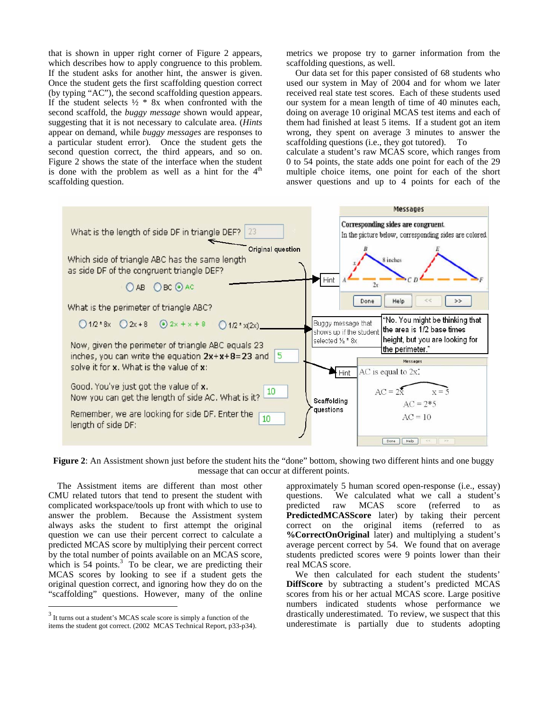that is shown in upper right corner of Figure 2 appears, which describes how to apply congruence to this problem. If the student asks for another hint, the answer is given. Once the student gets the first scaffolding question correct (by typing "AC"), the second scaffolding question appears. If the student selects  $\frac{1}{2}$  \* 8x when confronted with the second scaffold, the *buggy message* shown would appear, suggesting that it is not necessary to calculate area. (*Hints* appear on demand, while *buggy messages* are responses to a particular student error). Once the student gets the second question correct, the third appears, and so on. Figure 2 shows the state of the interface when the student is done with the problem as well as a hint for the  $4<sup>th</sup>$ scaffolding question.

metrics we propose try to garner information from the scaffolding questions, as well.

 Our data set for this paper consisted of 68 students who used our system in May of 2004 and for whom we later received real state test scores. Each of these students used our system for a mean length of time of 40 minutes each, doing on average 10 original MCAS test items and each of them had finished at least 5 items. If a student got an item wrong, they spent on average 3 minutes to answer the scaffolding questions (i.e., they got tutored). To

calculate a student's raw MCAS score, which ranges from 0 to 54 points, the state adds one point for each of the 29 multiple choice items, one point for each of the short answer questions and up to 4 points for each of the



**Figure 2:** An Assistment shown just before the student hits the "done" bottom, showing two different hints and one buggy message that can occur at different points.

 The Assistment items are different than most other CMU related tutors that tend to present the student with complicated workspace/tools up front with which to use to answer the problem. Because the Assistment system always asks the student to first attempt the original question we can use their percent correct to calculate a predicted MCAS score by multiplying their percent correct by the total number of points available on an MCAS score, which is  $54$  points.<sup>3</sup> To be clear, we are predicting their MCAS scores by looking to see if a student gets the original question correct, and ignoring how they do on the "scaffolding" questions. However, many of the online

 $\overline{a}$ 

approximately 5 human scored open-response (i.e., essay) questions. We calculated what we call a student's predicted raw MCAS score (referred to as **PredictedMCASScore** later) by taking their percent correct on the original items (referred to as **%CorrectOnOriginal** later) and multiplying a student's average percent correct by 54. We found that on average students predicted scores were 9 points lower than their real MCAS score.

 We then calculated for each student the students' **DiffScore** by subtracting a student's predicted MCAS scores from his or her actual MCAS score. Large positive numbers indicated students whose performance we drastically underestimated. To review, we suspect that this underestimate is partially due to students adopting

 $3$  It turns out a student's MCAS scale score is simply a function of the items the student got correct. (2002 MCAS Technical Report, p33-p34).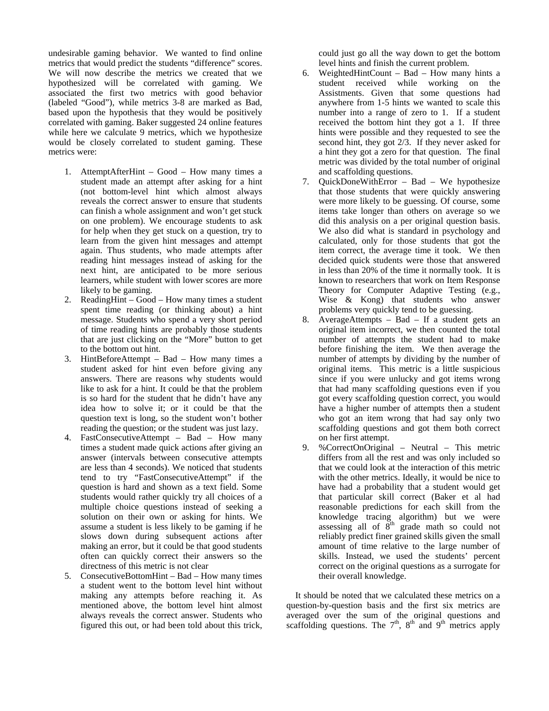undesirable gaming behavior. We wanted to find online metrics that would predict the students "difference" scores. We will now describe the metrics we created that we hypothesized will be correlated with gaming. We associated the first two metrics with good behavior (labeled "Good"), while metrics 3-8 are marked as Bad, based upon the hypothesis that they would be positively correlated with gaming. Baker suggested 24 online features while here we calculate 9 metrics, which we hypothesize would be closely correlated to student gaming. These metrics were:

- 1. AttemptAfterHint Good How many times a student made an attempt after asking for a hint (not bottom-level hint which almost always reveals the correct answer to ensure that students can finish a whole assignment and won't get stuck on one problem). We encourage students to ask for help when they get stuck on a question, try to learn from the given hint messages and attempt again. Thus students, who made attempts after reading hint messages instead of asking for the next hint, are anticipated to be more serious learners, while student with lower scores are more likely to be gaming.
- 2. ReadingHint Good How many times a student spent time reading (or thinking about) a hint message. Students who spend a very short period of time reading hints are probably those students that are just clicking on the "More" button to get to the bottom out hint.
- 3. HintBeforeAttempt Bad How many times a student asked for hint even before giving any answers. There are reasons why students would like to ask for a hint. It could be that the problem is so hard for the student that he didn't have any idea how to solve it; or it could be that the question text is long, so the student won't bother reading the question; or the student was just lazy.
- 4. FastConsecutiveAttempt Bad How many times a student made quick actions after giving an answer (intervals between consecutive attempts are less than 4 seconds). We noticed that students tend to try "FastConsecutiveAttempt" if the question is hard and shown as a text field. Some students would rather quickly try all choices of a multiple choice questions instead of seeking a solution on their own or asking for hints. We assume a student is less likely to be gaming if he slows down during subsequent actions after making an error, but it could be that good students often can quickly correct their answers so the directness of this metric is not clear
- 5. ConsecutiveBottomHint Bad How many times a student went to the bottom level hint without making any attempts before reaching it. As mentioned above, the bottom level hint almost always reveals the correct answer. Students who figured this out, or had been told about this trick,

could just go all the way down to get the bottom level hints and finish the current problem.

- 6. WeightedHintCount Bad How many hints a student received while working on the Assistments. Given that some questions had anywhere from 1-5 hints we wanted to scale this number into a range of zero to 1. If a student received the bottom hint they got a 1. If three hints were possible and they requested to see the second hint, they got 2/3. If they never asked for a hint they got a zero for that question. The final metric was divided by the total number of original and scaffolding questions.
- 7. QuickDoneWithError Bad We hypothesize that those students that were quickly answering were more likely to be guessing. Of course, some items take longer than others on average so we did this analysis on a per original question basis. We also did what is standard in psychology and calculated, only for those students that got the item correct, the average time it took. We then decided quick students were those that answered in less than 20% of the time it normally took. It is known to researchers that work on Item Response Theory for Computer Adaptive Testing (e.g., Wise & Kong) that students who answer problems very quickly tend to be guessing.
- 8. AverageAttempts Bad If a student gets an original item incorrect, we then counted the total number of attempts the student had to make before finishing the item. We then average the number of attempts by dividing by the number of original items. This metric is a little suspicious since if you were unlucky and got items wrong that had many scaffolding questions even if you got every scaffolding question correct, you would have a higher number of attempts then a student who got an item wrong that had say only two scaffolding questions and got them both correct on her first attempt.
- 9. %CorrectOnOriginal Neutral This metric differs from all the rest and was only included so that we could look at the interaction of this metric with the other metrics. Ideally, it would be nice to have had a probability that a student would get that particular skill correct (Baker et al had reasonable predictions for each skill from the knowledge tracing algorithm) but we were assessing all of  $8<sup>th</sup>$  grade math so could not reliably predict finer grained skills given the small amount of time relative to the large number of skills. Instead, we used the students' percent correct on the original questions as a surrogate for their overall knowledge.

 It should be noted that we calculated these metrics on a question-by-question basis and the first six metrics are averaged over the sum of the original questions and scaffolding questions. The  $7<sup>th</sup>$ ,  $8<sup>th</sup>$  and  $9<sup>th</sup>$  metrics apply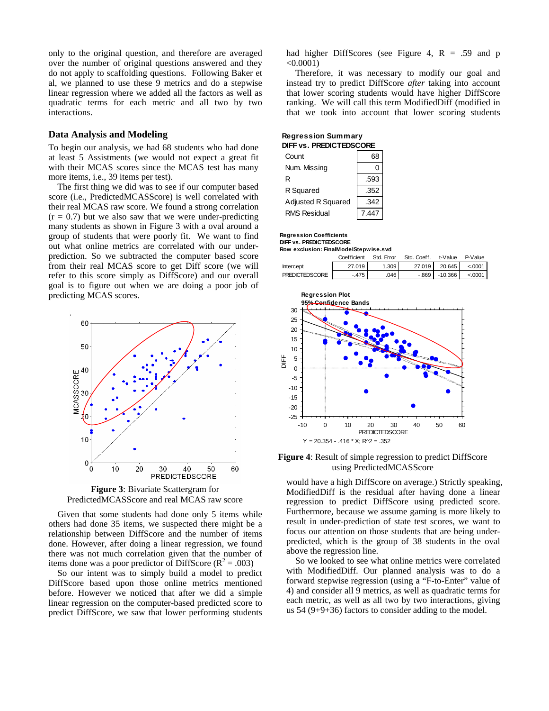only to the original question, and therefore are averaged over the number of original questions answered and they do not apply to scaffolding questions. Following Baker et al, we planned to use these 9 metrics and do a stepwise linear regression where we added all the factors as well as quadratic terms for each metric and all two by two interactions.

### **Data Analysis and Modeling**

To begin our analysis, we had 68 students who had done at least 5 Assistments (we would not expect a great fit with their MCAS scores since the MCAS test has many more items, i.e., 39 items per test).

 The first thing we did was to see if our computer based score (i.e., PredictedMCASScore) is well correlated with their real MCAS raw score. We found a strong correlation  $(r = 0.7)$  but we also saw that we were under-predicting many students as shown in Figure 3 with a oval around a group of students that were poorly fit. We want to find out what online metrics are correlated with our underprediction. So we subtracted the computer based score from their real MCAS score to get Diff score (we will refer to this score simply as DiffScore) and our overall goal is to figure out when we are doing a poor job of predicting MCAS scores.



**Figure 3**: Bivariate Scattergram for PredictedMCASScore and real MCAS raw score

 Given that some students had done only 5 items while others had done 35 items, we suspected there might be a relationship between DiffScore and the number of items done. However, after doing a linear regression, we found there was not much correlation given that the number of items done was a poor predictor of DiffScore  $(R^2 = .003)$ 

 So our intent was to simply build a model to predict DiffScore based upon those online metrics mentioned before. However we noticed that after we did a simple linear regression on the computer-based predicted score to predict DiffScore, we saw that lower performing students had higher DiffScores (see Figure 4,  $R = .59$  and p  $< 0.0001$ )

 Therefore, it was necessary to modify our goal and instead try to predict DiffScore *after* taking into account that lower scoring students would have higher DiffScore ranking. We will call this term ModifiedDiff (modified in that we took into account that lower scoring students

| Regression Summary      |  |  |  |
|-------------------------|--|--|--|
| DIFF vs. PREDICTEDSCORE |  |  |  |

| Count                     |       |  |  |  |
|---------------------------|-------|--|--|--|
| Num. Missing              |       |  |  |  |
| R                         | .593  |  |  |  |
| R Squared                 | .352  |  |  |  |
| <b>Adjusted R Squared</b> | .342  |  |  |  |
| <b>RMS Residual</b>       | 7.447 |  |  |  |

#### **Regression Coefficients**

**DIFF vs. PREDICTEDSCORE**

**Row exclusion: FinalModelStepwise.svd**

|                       | Coefficient | Std. Error | Std. Coeff. | t-Value         | P-Value |
|-----------------------|-------------|------------|-------------|-----------------|---------|
| Intercept             | 27.019      | 1.309      | 27.019      | 20.645 L        | < 0001  |
| <b>PREDICTEDSCORE</b> | $-.475$     | .046       |             | -.869   -10.366 | < 0001  |



**Figure 4**: Result of simple regression to predict DiffScore using PredictedMCASScore

would have a high DiffScore on average.) Strictly speaking, ModifiedDiff is the residual after having done a linear regression to predict DiffScore using predicted score. Furthermore, because we assume gaming is more likely to result in under-prediction of state test scores, we want to focus our attention on those students that are being underpredicted, which is the group of 38 students in the oval above the regression line.

So we looked to see what online metrics were correlated with ModifiedDiff. Our planned analysis was to do a forward stepwise regression (using a "F-to-Enter" value of 4) and consider all 9 metrics, as well as quadratic terms for each metric, as well as all two by two interactions, giving us 54 (9+9+36) factors to consider adding to the model.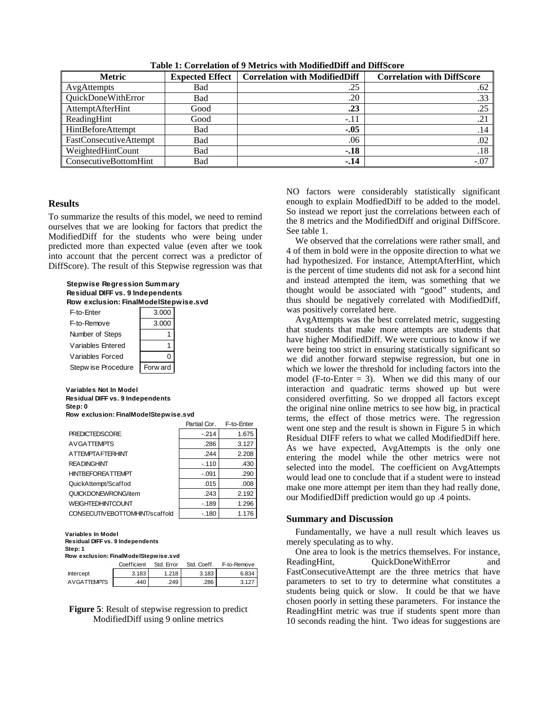| <b>Metric</b>            | <b>Expected Effect</b> | <b>Correlation with ModifiedDiff</b> | <b>Correlation with DiffScore</b> |
|--------------------------|------------------------|--------------------------------------|-----------------------------------|
| AvgAttempts              | Bad                    | .25                                  | .62                               |
| QuickDoneWithError       | Bad                    | .20                                  | .33                               |
| AttemptAfterHint         | Good                   | .23                                  | .25                               |
| ReadingHint              | Good                   | $-.11$                               | .21                               |
| <b>HintBeforeAttempt</b> | Bad                    | $-.05$                               | .14                               |
| FastConsecutiveAttempt   | Bad                    | .06                                  | .02                               |
| WeightedHintCount        | Bad                    | $-.18$                               | .18                               |
| ConsecutiveBottomHint    | Bad                    | $-.14$                               | $-.07$                            |

**Table 1: Correlation of 9 Metrics with ModifiedDiff and DiffScore** 

# **Results**

To summarize the results of this model, we need to remind ourselves that we are looking for factors that predict the ModifiedDiff for the students who were being under predicted more than expected value (even after we took into account that the percent correct was a predictor of DiffScore). The result of this Stepwise regression was that

| Stepwise Regression Summary<br>Residual DIFF vs. 9 Independents |          |  |  |  |  |  |  |
|-----------------------------------------------------------------|----------|--|--|--|--|--|--|
| Row exclusion: FinalModelStepwise.svd                           |          |  |  |  |  |  |  |
| F-to-Fnter                                                      | 3.000    |  |  |  |  |  |  |
| F-to-Remove                                                     | 3.000    |  |  |  |  |  |  |
| Number of Steps                                                 |          |  |  |  |  |  |  |
| Variables Entered                                               |          |  |  |  |  |  |  |
| Variables Forced                                                |          |  |  |  |  |  |  |
| Stepw ise Procedure                                             | Forw ard |  |  |  |  |  |  |
|                                                                 |          |  |  |  |  |  |  |

### **Variables Not In Model Residual DIFF vs. 9 Independents Step: 0**

| Row exclusion: FinalModelStepwise.svd |                      |                       |
|---------------------------------------|----------------------|-----------------------|
|                                       | $P_{\text{initial}}$ | E <sub>to</sub> Estar |

|                                | rai uai vui . | ו -יש-בוויסו |
|--------------------------------|---------------|--------------|
| <b>PREDICTEDSCORE</b>          | $-214$        | 1.675        |
| <b>AVGATTEMPTS</b>             | .286          | 3.127        |
| A TTEMPTA FTERHINT             | .244          | 2.208        |
| <b>READINGHINT</b>             | $-110$        | .430         |
| <b>HINTBEFOREATTEMPT</b>       | $-0.91$       | .290         |
| QuickAttempt/Scaffod           | .015          | .008         |
| QUICKDONEWRONG/item            | .243          | 2.192        |
| <b>WEIGHTEDHINTCOUNT</b>       | $-189$        | 1.296        |
| CONSECUTIVEBOTTOMHINT/scaffold | $-180$        | 1.176        |

**Variables In Model Residual DIFF vs. 9 Independents Step: 1 Row exclusion: FinalModelStepwise.svd**

|             | Coefficient | Std. Error | Std. Coeff. | F-to-Remove |
|-------------|-------------|------------|-------------|-------------|
| Intercept   | 3.183       | 1.218      | 3.183       | 6.834       |
| AVGATTEMPTS | .440        | .249       | .286        | 3.127       |

**Figure 5**: Result of stepwise regression to predict ModifiedDiff using 9 online metrics

NO factors were considerably statistically significant enough to explain ModfiedDiff to be added to the model. So instead we report just the correlations between each of the 8 metrics and the ModifiedDiff and original DiffScore. See table 1.

 We observed that the correlations were rather small, and 4 of them in bold were in the opposite direction to what we had hypothesized. For instance, AttemptAfterHint, which is the percent of time students did not ask for a second hint and instead attempted the item, was something that we thought would be associated with "good" students, and thus should be negatively correlated with ModifiedDiff, was positively correlated here.

 AvgAttempts was the best correlated metric, suggesting that students that make more attempts are students that have higher ModifiedDiff. We were curious to know if we were being too strict in ensuring statistically significant so we did another forward stepwise regression, but one in which we lower the threshold for including factors into the model (F-to-Enter  $= 3$ ). When we did this many of our interaction and quadratic terms showed up but were considered overfitting. So we dropped all factors except the original nine online metrics to see how big, in practical terms, the effect of those metrics were. The regression went one step and the result is shown in Figure 5 in which Residual DIFF refers to what we called ModifiedDiff here. As we have expected, AvgAttempts is the only one entering the model while the other metrics were not selected into the model. The coefficient on AvgAttempts would lead one to conclude that if a student were to instead make one more attempt per item than they had really done, our ModifiedDiff prediction would go up .4 points.

### **Summary and Discussion**

 Fundamentally, we have a null result which leaves us merely speculating as to why.

 One area to look is the metrics themselves. For instance, ReadingHint,  $QuickDoneWithError$  and FastConsecutiveAttempt are the three metrics that have parameters to set to try to determine what constitutes a students being quick or slow. It could be that we have chosen poorly in setting these parameters. For instance the ReadingHint metric was true if students spent more than 10 seconds reading the hint. Two ideas for suggestions are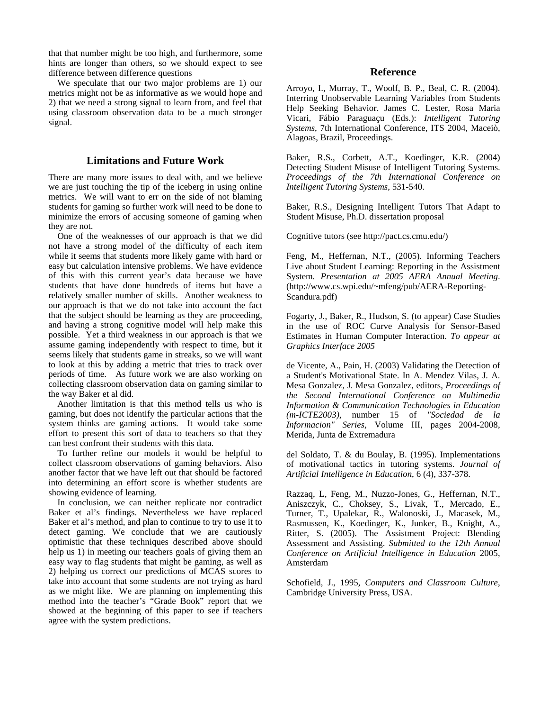that that number might be too high, and furthermore, some hints are longer than others, so we should expect to see difference between difference questions

 We speculate that our two major problems are 1) our metrics might not be as informative as we would hope and 2) that we need a strong signal to learn from, and feel that using classroom observation data to be a much stronger signal.

# **Limitations and Future Work**

There are many more issues to deal with, and we believe we are just touching the tip of the iceberg in using online metrics. We will want to err on the side of not blaming students for gaming so further work will need to be done to minimize the errors of accusing someone of gaming when they are not.

 One of the weaknesses of our approach is that we did not have a strong model of the difficulty of each item while it seems that students more likely game with hard or easy but calculation intensive problems. We have evidence of this with this current year's data because we have students that have done hundreds of items but have a relatively smaller number of skills. Another weakness to our approach is that we do not take into account the fact that the subject should be learning as they are proceeding, and having a strong cognitive model will help make this possible. Yet a third weakness in our approach is that we assume gaming independently with respect to time, but it seems likely that students game in streaks, so we will want to look at this by adding a metric that tries to track over periods of time. As future work we are also working on collecting classroom observation data on gaming similar to the way Baker et al did.

 Another limitation is that this method tells us who is gaming, but does not identify the particular actions that the system thinks are gaming actions. It would take some effort to present this sort of data to teachers so that they can best confront their students with this data.

 To further refine our models it would be helpful to collect classroom observations of gaming behaviors. Also another factor that we have left out that should be factored into determining an effort score is whether students are showing evidence of learning.

 In conclusion, we can neither replicate nor contradict Baker et al's findings. Nevertheless we have replaced Baker et al's method, and plan to continue to try to use it to detect gaming. We conclude that we are cautiously optimistic that these techniques described above should help us 1) in meeting our teachers goals of giving them an easy way to flag students that might be gaming, as well as 2) helping us correct our predictions of MCAS scores to take into account that some students are not trying as hard as we might like. We are planning on implementing this method into the teacher's "Grade Book" report that we showed at the beginning of this paper to see if teachers agree with the system predictions.

# **Reference**

Arroyo, I., Murray, T., Woolf, B. P., Beal, C. R. (2004). Interring Unobservable Learning Variables from Students Help Seeking Behavior. James C. Lester, Rosa Maria Vicari, Fábio Paraguaçu (Eds.): *Intelligent Tutoring Systems*, 7th International Conference, ITS 2004, Maceiò, Alagoas, Brazil, Proceedings.

Baker, R.S., Corbett, A.T., Koedinger, K.R. (2004) Detecting Student Misuse of Intelligent Tutoring Systems. *Proceedings of the 7th International Conference on Intelligent Tutoring Systems*, 531-540.

Baker, R.S., Designing Intelligent Tutors That Adapt to Student Misuse, Ph.D. dissertation proposal

Cognitive tutors (see http://pact.cs.cmu.edu/)

Feng, M., Heffernan, N.T., (2005). Informing Teachers Live about Student Learning: Reporting in the Assistment System. *Presentation at 2005 AERA Annual Meeting*. (http://www.cs.wpi.edu/~mfeng/pub/AERA-Reporting-Scandura.pdf)

Fogarty, J., Baker, R., Hudson, S. (to appear) Case Studies in the use of ROC Curve Analysis for Sensor-Based Estimates in Human Computer Interaction. *To appear at Graphics Interface 2005*

de Vicente, A., Pain, H. (2003) Validating the Detection of a Student's Motivational State. In A. Mendez Vilas, J. A. Mesa Gonzalez, J. Mesa Gonzalez, editors, *Proceedings of the Second International Conference on Multimedia Information & Communication Technologies in Education (m-ICTE2003)*, number 15 of *"Sociedad de la Informacion" Series*, Volume III, pages 2004-2008, Merida, Junta de Extremadura

del Soldato, T. & du Boulay, B. (1995). Implementations of motivational tactics in tutoring systems. *Journal of Artificial Intelligence in Education*, 6 (4), 337-378.

Razzaq, L, Feng, M., Nuzzo-Jones, G., Heffernan, N.T., Aniszczyk, C., Choksey, S., Livak, T., Mercado, E., Turner, T., Upalekar, R., Walonoski, J., Macasek, M., Rasmussen, K., Koedinger, K., Junker, B., Knight, A., Ritter, S. (2005). The Assistment Project: Blending Assessment and Assisting. *Submitted to the 12th Annual Conference on Artificial Intelligence in Education* 2005, Amsterdam

Schofield, J., 1995, *Computers and Classroom Culture*, Cambridge University Press, USA.